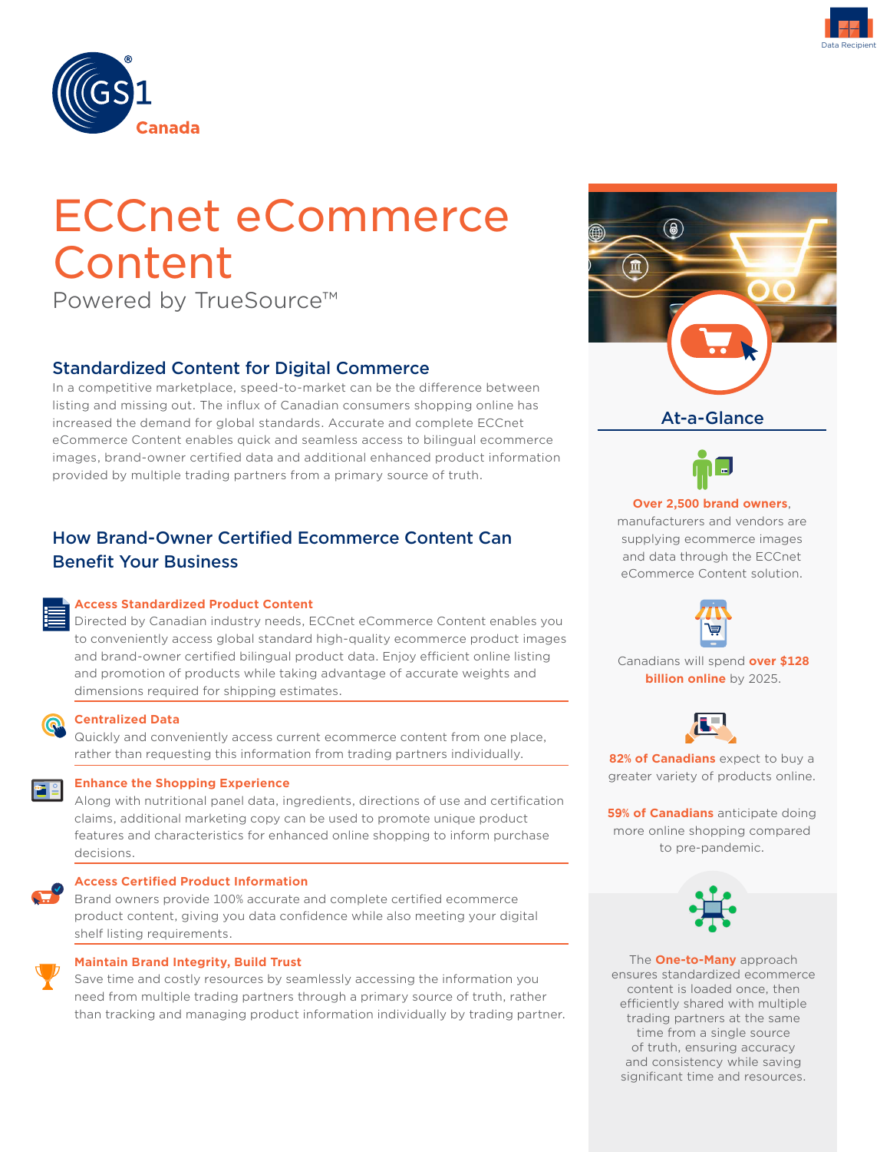



# ECCnet eCommerce Content

Powered by TrueSource™

# Standardized Content for Digital Commerce

In a competitive marketplace, speed-to-market can be the difference between listing and missing out. The influx of Canadian consumers shopping online has increased the demand for global standards. Accurate and complete ECCnet eCommerce Content enables quick and seamless access to bilingual ecommerce images, brand-owner certified data and additional enhanced product information provided by multiple trading partners from a primary source of truth.

# How Brand-Owner Certified Ecommerce Content Can Benefit Your Business

#### **Access Standardized Product Content**

Directed by Canadian industry needs, ECCnet eCommerce Content enables you to conveniently access global standard high-quality ecommerce product images and brand-owner certified bilingual product data. Enjoy efficient online listing and promotion of products while taking advantage of accurate weights and dimensions required for shipping estimates.



#### **Centralized Data**

Quickly and conveniently access current ecommerce content from one place, rather than requesting this information from trading partners individually.



Along with nutritional panel data, ingredients, directions of use and certification claims, additional marketing copy can be used to promote unique product features and characteristics for enhanced online shopping to inform purchase decisions.

#### **Access Certified Product Information**

Brand owners provide 100% accurate and complete certified ecommerce product content, giving you data confidence while also meeting your digital shelf listing requirements.



#### **Maintain Brand Integrity, Build Trust**

Save time and costly resources by seamlessly accessing the information you need from multiple trading partners through a primary source of truth, rather than tracking and managing product information individually by trading partner.





#### **Over 2,500 brand owners**,

manufacturers and vendors are supplying ecommerce images and data through the ECCnet eCommerce Content solution.



Canadians will spend **over \$128 billion online** by 2025.



**82% of Canadians** expect to buy a greater variety of products online.

**59% of Canadians** anticipate doing more online shopping compared to pre-pandemic.



The **One-to-Many** approach ensures standardized ecommerce content is loaded once, then efficiently shared with multiple trading partners at the same time from a single source of truth, ensuring accuracy and consistency while saving significant time and resources.